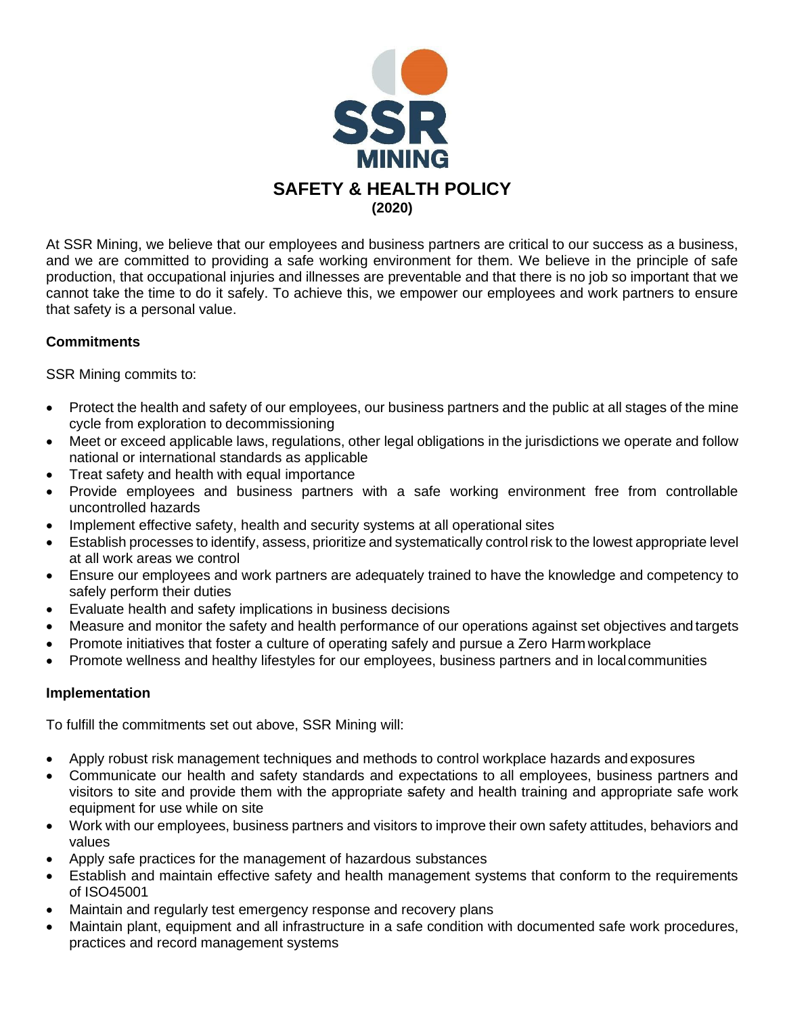

At SSR Mining, we believe that our employees and business partners are critical to our success as a business, and we are committed to providing a safe working environment for them. We believe in the principle of safe production, that occupational injuries and illnesses are preventable and that there is no job so important that we cannot take the time to do it safely. To achieve this, we empower our employees and work partners to ensure that safety is a personal value.

## **Commitments**

SSR Mining commits to:

- Protect the health and safety of our employees, our business partners and the public at all stages of the mine cycle from exploration to decommissioning
- Meet or exceed applicable laws, regulations, other legal obligations in the jurisdictions we operate and follow national or international standards as applicable
- Treat safety and health with equal importance
- Provide employees and business partners with a safe working environment free from controllable uncontrolled hazards
- Implement effective safety, health and security systems at all operational sites
- Establish processes to identify, assess, prioritize and systematically control risk to the lowest appropriate level at all work areas we control
- Ensure our employees and work partners are adequately trained to have the knowledge and competency to safely perform their duties
- Evaluate health and safety implications in business decisions
- Measure and monitor the safety and health performance of our operations against set objectives and targets
- Promote initiatives that foster a culture of operating safely and pursue a Zero Harm workplace
- Promote wellness and healthy lifestyles for our employees, business partners and in localcommunities

## **Implementation**

To fulfill the commitments set out above, SSR Mining will:

- Apply robust risk management techniques and methods to control workplace hazards and exposures
- Communicate our health and safety standards and expectations to all employees, business partners and visitors to site and provide them with the appropriate safety and health training and appropriate safe work equipment for use while on site
- Work with our employees, business partners and visitors to improve their own safety attitudes, behaviors and values
- Apply safe practices for the management of hazardous substances
- Establish and maintain effective safety and health management systems that conform to the requirements of ISO45001
- Maintain and regularly test emergency response and recovery plans
- Maintain plant, equipment and all infrastructure in a safe condition with documented safe work procedures, practices and record management systems